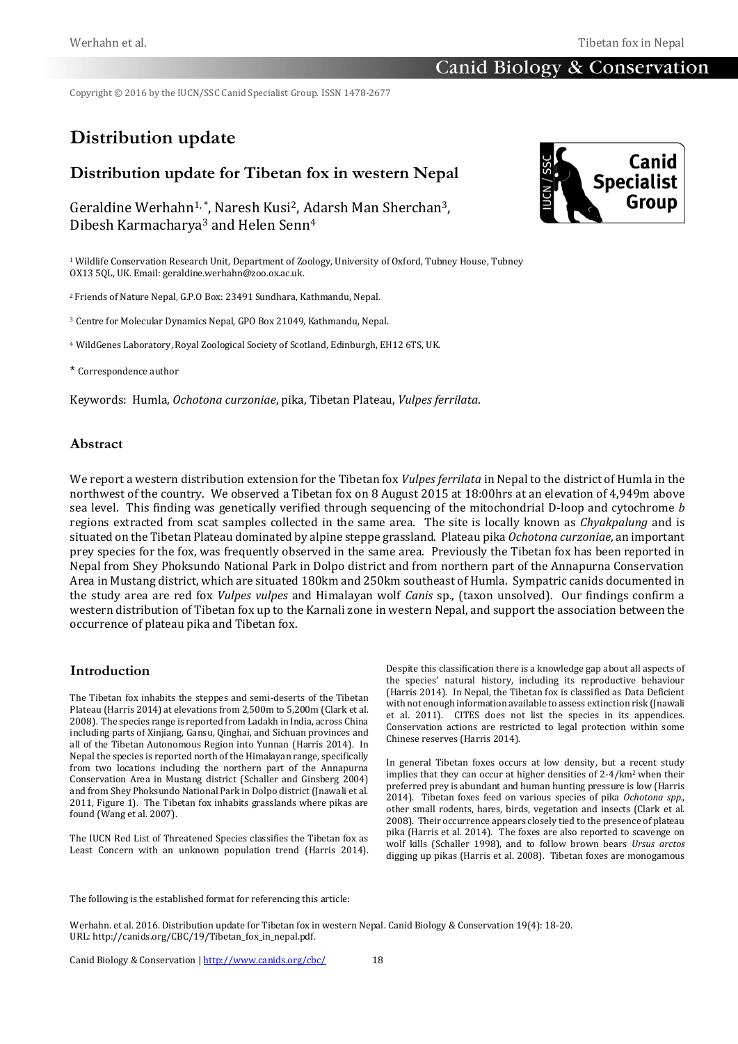Copyright © 2016 by the IUCN/SSC Canid Specialist Group. ISSN 1478-2677

# **Distribution update**

# **Distribution update for Tibetan fox in western Nepal**

Geraldine Werhahn<sup>1,\*</sup>, Naresh Kusi<sup>2</sup>, Adarsh Man Sherchan<sup>3</sup>, Dibesh Karmacharya<sup>3</sup> and Helen Senn<sup>4</sup>

<sup>1</sup> Wildlife Conservation Research Unit, Department of Zoology, University of Oxford, Tubney House, Tubney OX13 5QL, UK. Email[: geraldine.werhahn@zoo.ox.ac.uk.](mailto:geraldine.werhahn@zoo.ox.ac.uk)

<sup>2</sup>Friends of Nature Nepal, G.P.O Box: 23491 Sundhara, Kathmandu, Nepal.

<sup>3</sup> Centre for Molecular Dynamics Nepal, GPO Box 21049, Kathmandu, Nepal.

<sup>4</sup> WildGenes Laboratory, Royal Zoological Society of Scotland, Edinburgh, EH12 6TS, UK.

#### \* Correspondence author

Keywords: Humla, *Ochotona curzoniae*, pika, Tibetan Plateau, *Vulpes ferrilata*.

#### **Abstract**

We report a western distribution extension for the Tibetan fox *Vulpes ferrilata* in Nepal to the district of Humla in the northwest of the country. We observed a Tibetan fox on 8 August 2015 at 18:00hrs at an elevation of 4,949m above sea level. This finding was genetically verified through sequencing of the mitochondrial D-loop and cytochrome *b* regions extracted from scat samples collected in the same area. The site is locally known as *Chyakpalung* and is situated on the Tibetan Plateau dominated by alpine steppe grassland. Plateau pika *Ochotona curzoniae*, an important prey species for the fox, was frequently observed in the same area. Previously the Tibetan fox has been reported in Nepal from Shey Phoksundo National Park in Dolpo district and from northern part of the Annapurna Conservation Area in Mustang district, which are situated 180km and 250km southeast of Humla. Sympatric canids documented in the study area are red fox *Vulpes vulpes* and Himalayan wolf *Canis* sp., (taxon unsolved). Our findings confirm a western distribution of Tibetan fox up to the Karnali zone in western Nepal, and support the association between the occurrence of plateau pika and Tibetan fox.

#### **Introduction**

The Tibetan fox inhabits the steppes and semi-deserts of the Tibetan Plateau (Harris 2014) at elevations from 2,500m to 5,200m (Clark et al. 2008). The species range is reported from Ladakh in India, across China including parts of Xinjiang, Gansu, Qinghai, and Sichuan provinces and all of the Tibetan Autonomous Region into Yunnan (Harris 2014). In Nepal the species is reported north of the Himalayan range, specifically from two locations including the northern part of the Annapurna Conservation Area in Mustang district (Schaller and Ginsberg 2004) and from Shey Phoksundo National Park in Dolpo district (Jnawali et al. 2011, Figure 1). The Tibetan fox inhabits grasslands where pikas are found (Wang et al. 2007).

The IUCN Red List of Threatened Species classifies the Tibetan fox as Least Concern with an unknown population trend (Harris 2014). Despite this classification there is a knowledge gap about all aspects of the species' natural history, including its reproductive behaviour (Harris 2014). In Nepal, the Tibetan fox is classified as Data Deficient with not enough information available to assess extinction risk (Jnawali et al. 2011). CITES does not list the species in its appendices. Conservation actions are restricted to legal protection within some Chinese reserves (Harris 2014).

In general Tibetan foxes occurs at low density, but a recent study implies that they can occur at higher densities of 2-4/km2 when their preferred prey is abundant and human hunting pressure is low (Harris 2014). Tibetan foxes feed on various species of pika *Ochotona spp.*, other small rodents, hares, birds, vegetation and insects (Clark et al. 2008). Their occurrence appears closely tied to the presence of plateau pika (Harris et al. 2014). The foxes are also reported to scavenge on wolf kills (Schaller 1998), and to follow brown bears *Ursus arctos* digging up pikas (Harris et al. 2008). Tibetan foxes are monogamous



The following is the established format for referencing this article:

Werhahn. et al. 2016. Distribution update for Tibetan fox in western Nepal. Canid Biology & Conservation 19(4): 18-20. URL: http://canids.org/CBC/19/Tibetan\_fox\_in\_nepal.pdf.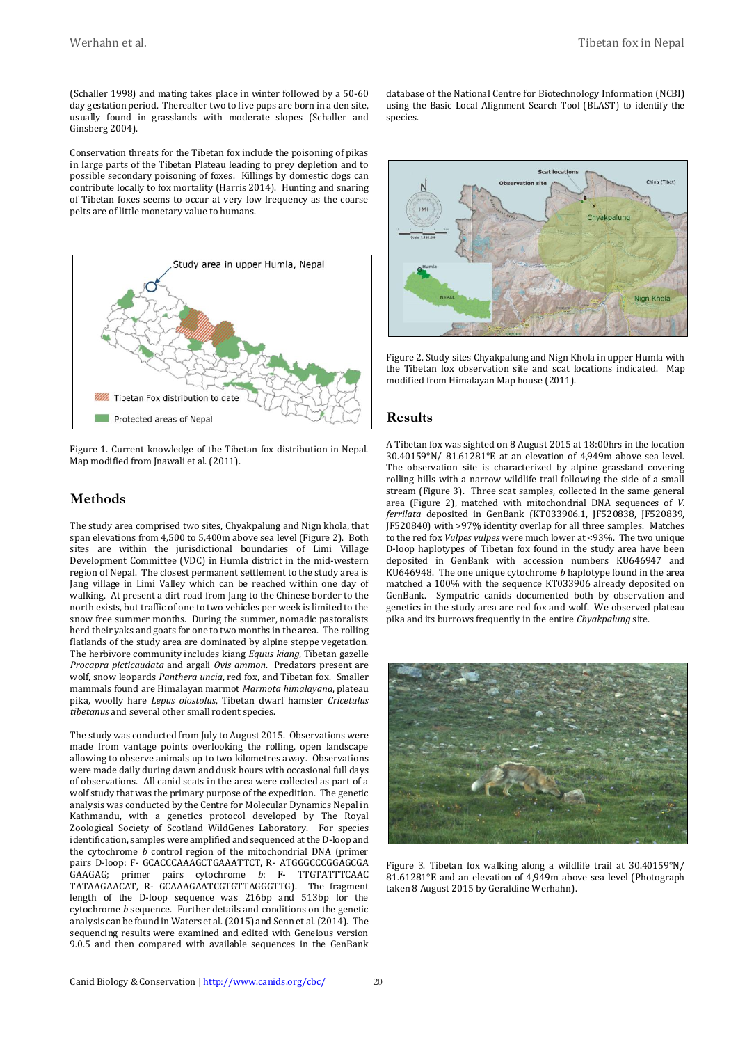(Schaller 1998) and mating takes place in winter followed by a 50-60 day gestation period. Thereafter two to five pups are born in a den site, usually found in grasslands with moderate slopes (Schaller and Ginsberg 2004).

Conservation threats for the Tibetan fox include the poisoning of pikas in large parts of the Tibetan Plateau leading to prey depletion and to possible secondary poisoning of foxes. Killings by domestic dogs can contribute locally to fox mortality (Harris 2014). Hunting and snaring of Tibetan foxes seems to occur at very low frequency as the coarse pelts are of little monetary value to humans.



Figure 1. Current knowledge of the Tibetan fox distribution in Nepal. Map modified from Jnawali et al. (2011).

#### **Methods**

The study area comprised two sites, Chyakpalung and Nign khola*,* that span elevations from 4,500 to 5,400m above sea level (Figure 2). Both sites are within the jurisdictional boundaries of Limi Village Development Committee (VDC) in Humla district in the mid-western region of Nepal. The closest permanent settlement to the study area is Jang village in Limi Valley which can be reached within one day of walking. At present a dirt road from Jang to the Chinese border to the north exists, but traffic of one to two vehicles per week is limited to the snow free summer months. During the summer, nomadic pastoralists herd their yaks and goats for one to two months in the area. The rolling flatlands of the study area are dominated by alpine steppe vegetation. The herbivore community includes kiang *Equus kiang*, Tibetan gazelle *Procapra picticaudata* and argali *Ovis ammon*. Predators present are wolf, snow leopards *Panthera uncia*, red fox, and Tibetan fox. Smaller mammals found are Himalayan marmot *Marmota himalayana*, plateau pika, woolly hare *Lepus oiostolus*, Tibetan dwarf hamster *Cricetulus tibetanus* and several other small rodent species.

The study was conducted from July to August 2015. Observations were made from vantage points overlooking the rolling, open landscape allowing to observe animals up to two kilometres away. Observations were made daily during dawn and dusk hours with occasional full days of observations. All canid scats in the area were collected as part of a wolf study that was the primary purpose of the expedition. The genetic analysis was conducted by the Centre for Molecular Dynamics Nepal in Kathmandu, with a genetics protocol developed by The Royal Zoological Society of Scotland WildGenes Laboratory. For species identification, samples were amplified and sequenced at the D-loop and the cytochrome *b* control region of the mitochondrial DNA (primer pairs D-loop: F- GCACCCAAAGCTGAAATTCT, R- ATGGGCCCGGAGCGA GAAGAG; primer pairs cytochrome *b*: F- TTGTATTTCAAC TATAAGAACAT, R- GCAAAGAATCGTGTTAGGGTTG). The fragment length of the D-loop sequence was 216bp and 513bp for the cytochrome *b* sequence. Further details and conditions on the genetic analysis can be found in Waters et al. (2015) and Senn et al. (2014). The sequencing results were examined and edited with Geneious version 9.0.5 and then compared with available sequences in the GenBank database of the National Centre for Biotechnology Information (NCBI) using the Basic Local Alignment Search Tool (BLAST) to identify the species.



Figure 2. Study sites Chyakpalung and Nign Khola in upper Humla with the Tibetan fox observation site and scat locations indicated. Map modified from Himalayan Map house (2011).

#### **Results**

A Tibetan fox was sighted on 8 August 2015 at 18:00hrs in the location 30.40159°N/ 81.61281°E at an elevation of 4,949m above sea level. The observation site is characterized by alpine grassland covering rolling hills with a narrow wildlife trail following the side of a small stream (Figure 3). Three scat samples, collected in the same general area (Figure 2), matched with mitochondrial DNA sequences of *V. ferrilata* deposited in GenBank (KT033906.1, JF520838, JF520839, JF520840) with >97% identity overlap for all three samples. Matches to the red fox *Vulpes vulpes* were much lower at <93%. The two unique D-loop haplotypes of Tibetan fox found in the study area have been deposited in GenBank with accession numbers KU646947 and KU646948. The one unique cytochrome *b* haplotype found in the area matched a 100% with the sequence KT033906 already deposited on GenBank. Sympatric canids documented both by observation and genetics in the study area are red fox and wolf. We observed plateau pika and its burrows frequently in the entire *Chyakpalung* site.



Figure 3. Tibetan fox walking along a wildlife trail at 30.40159°N/ 81.61281°E and an elevation of 4,949m above sea level (Photograph taken 8 August 2015 by Geraldine Werhahn).